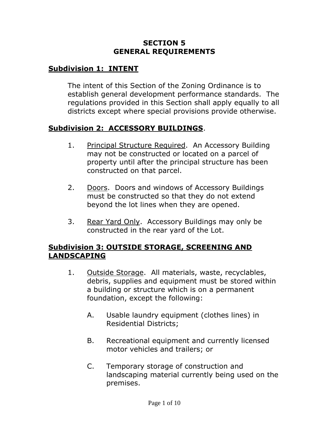### **SECTION 5 GENERAL REQUIREMENTS**

## **Subdivision 1: INTENT**

The intent of this Section of the Zoning Ordinance is to establish general development performance standards. The regulations provided in this Section shall apply equally to all districts except where special provisions provide otherwise.

#### **Subdivision 2: ACCESSORY BUILDINGS**.

- 1. Principal Structure Required. An Accessory Building may not be constructed or located on a parcel of property until after the principal structure has been constructed on that parcel.
- 2. Doors. Doors and windows of Accessory Buildings must be constructed so that they do not extend beyond the lot lines when they are opened.
- 3. Rear Yard Only. Accessory Buildings may only be constructed in the rear yard of the Lot.

#### **Subdivision 3: OUTSIDE STORAGE, SCREENING AND LANDSCAPING**

- 1. Outside Storage. All materials, waste, recyclables, debris, supplies and equipment must be stored within a building or structure which is on a permanent foundation, except the following:
	- A. Usable laundry equipment (clothes lines) in Residential Districts;
	- B. Recreational equipment and currently licensed motor vehicles and trailers; or
	- C. Temporary storage of construction and landscaping material currently being used on the premises.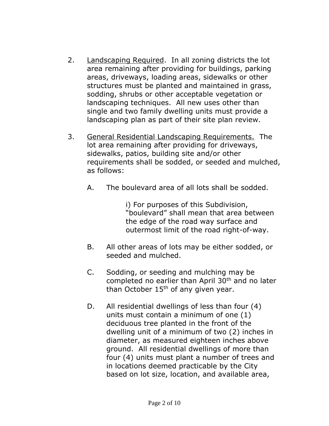- 2. Landscaping Required. In all zoning districts the lot area remaining after providing for buildings, parking areas, driveways, loading areas, sidewalks or other structures must be planted and maintained in grass, sodding, shrubs or other acceptable vegetation or landscaping techniques. All new uses other than single and two family dwelling units must provide a landscaping plan as part of their site plan review.
- 3. General Residential Landscaping Requirements. The lot area remaining after providing for driveways, sidewalks, patios, building site and/or other requirements shall be sodded, or seeded and mulched, as follows:
	- A. The boulevard area of all lots shall be sodded.

i) For purposes of this Subdivision, "boulevard" shall mean that area between the edge of the road way surface and outermost limit of the road right-of-way.

- B. All other areas of lots may be either sodded, or seeded and mulched.
- C. Sodding, or seeding and mulching may be completed no earlier than April 30<sup>th</sup> and no later than October  $15<sup>th</sup>$  of any given year.
- D. All residential dwellings of less than four (4) units must contain a minimum of one (1) deciduous tree planted in the front of the dwelling unit of a minimum of two (2) inches in diameter, as measured eighteen inches above ground. All residential dwellings of more than four (4) units must plant a number of trees and in locations deemed practicable by the City based on lot size, location, and available area,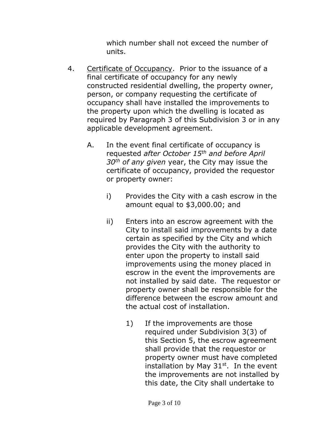which number shall not exceed the number of units.

- 4. Certificate of Occupancy. Prior to the issuance of a final certificate of occupancy for any newly constructed residential dwelling, the property owner, person, or company requesting the certificate of occupancy shall have installed the improvements to the property upon which the dwelling is located as required by Paragraph 3 of this Subdivision 3 or in any applicable development agreement.
	- A. In the event final certificate of occupancy is requested *after October 15th and before April 30th of any given* year, the City may issue the certificate of occupancy, provided the requestor or property owner:
		- i) Provides the City with a cash escrow in the amount equal to \$3,000.00; and
		- ii) Enters into an escrow agreement with the City to install said improvements by a date certain as specified by the City and which provides the City with the authority to enter upon the property to install said improvements using the money placed in escrow in the event the improvements are not installed by said date. The requestor or property owner shall be responsible for the difference between the escrow amount and the actual cost of installation.
			- 1) If the improvements are those required under Subdivision 3(3) of this Section 5, the escrow agreement shall provide that the requestor or property owner must have completed installation by May  $31<sup>st</sup>$ . In the event the improvements are not installed by this date, the City shall undertake to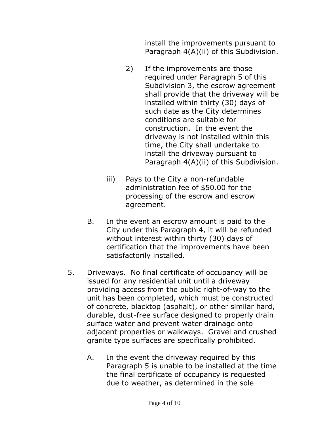install the improvements pursuant to Paragraph 4(A)(ii) of this Subdivision.

- 2) If the improvements are those required under Paragraph 5 of this Subdivision 3, the escrow agreement shall provide that the driveway will be installed within thirty (30) days of such date as the City determines conditions are suitable for construction. In the event the driveway is not installed within this time, the City shall undertake to install the driveway pursuant to Paragraph 4(A)(ii) of this Subdivision.
- iii) Pays to the City a non-refundable administration fee of \$50.00 for the processing of the escrow and escrow agreement.
- B. In the event an escrow amount is paid to the City under this Paragraph 4, it will be refunded without interest within thirty (30) days of certification that the improvements have been satisfactorily installed.
- 5. Driveways. No final certificate of occupancy will be issued for any residential unit until a driveway providing access from the public right-of-way to the unit has been completed, which must be constructed of concrete, blacktop (asphalt), or other similar hard, durable, dust-free surface designed to properly drain surface water and prevent water drainage onto adjacent properties or walkways. Gravel and crushed granite type surfaces are specifically prohibited.
	- A. In the event the driveway required by this Paragraph 5 is unable to be installed at the time the final certificate of occupancy is requested due to weather, as determined in the sole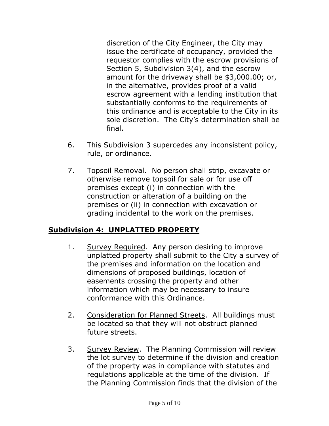discretion of the City Engineer, the City may issue the certificate of occupancy, provided the requestor complies with the escrow provisions of Section 5, Subdivision 3(4), and the escrow amount for the driveway shall be \$3,000.00; or, in the alternative, provides proof of a valid escrow agreement with a lending institution that substantially conforms to the requirements of this ordinance and is acceptable to the City in its sole discretion. The City's determination shall be final.

- 6. This Subdivision 3 supercedes any inconsistent policy, rule, or ordinance.
- 7. Topsoil Removal. No person shall strip, excavate or otherwise remove topsoil for sale or for use off premises except (i) in connection with the construction or alteration of a building on the premises or (ii) in connection with excavation or grading incidental to the work on the premises.

# **Subdivision 4: UNPLATTED PROPERTY**

- 1. Survey Required. Any person desiring to improve unplatted property shall submit to the City a survey of the premises and information on the location and dimensions of proposed buildings, location of easements crossing the property and other information which may be necessary to insure conformance with this Ordinance.
- 2. Consideration for Planned Streets. All buildings must be located so that they will not obstruct planned future streets.
- 3. Survey Review. The Planning Commission will review the lot survey to determine if the division and creation of the property was in compliance with statutes and regulations applicable at the time of the division. If the Planning Commission finds that the division of the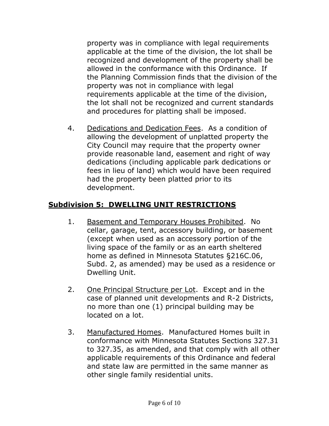property was in compliance with legal requirements applicable at the time of the division, the lot shall be recognized and development of the property shall be allowed in the conformance with this Ordinance. If the Planning Commission finds that the division of the property was not in compliance with legal requirements applicable at the time of the division, the lot shall not be recognized and current standards and procedures for platting shall be imposed.

4. Dedications and Dedication Fees. As a condition of allowing the development of unplatted property the City Council may require that the property owner provide reasonable land, easement and right of way dedications (including applicable park dedications or fees in lieu of land) which would have been required had the property been platted prior to its development.

# **Subdivision 5: DWELLING UNIT RESTRICTIONS**

- 1. Basement and Temporary Houses Prohibited. No cellar, garage, tent, accessory building, or basement (except when used as an accessory portion of the living space of the family or as an earth sheltered home as defined in Minnesota Statutes §216C.06, Subd. 2, as amended) may be used as a residence or Dwelling Unit.
- 2. One Principal Structure per Lot. Except and in the case of planned unit developments and R-2 Districts, no more than one (1) principal building may be located on a lot.
- 3. Manufactured Homes. Manufactured Homes built in conformance with Minnesota Statutes Sections 327.31 to 327.35, as amended, and that comply with all other applicable requirements of this Ordinance and federal and state law are permitted in the same manner as other single family residential units.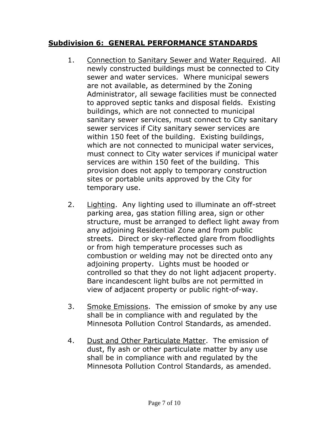# **Subdivision 6: GENERAL PERFORMANCE STANDARDS**

- 1. Connection to Sanitary Sewer and Water Required. All newly constructed buildings must be connected to City sewer and water services. Where municipal sewers are not available, as determined by the Zoning Administrator, all sewage facilities must be connected to approved septic tanks and disposal fields. Existing buildings, which are not connected to municipal sanitary sewer services, must connect to City sanitary sewer services if City sanitary sewer services are within 150 feet of the building. Existing buildings, which are not connected to municipal water services, must connect to City water services if municipal water services are within 150 feet of the building. This provision does not apply to temporary construction sites or portable units approved by the City for temporary use.
- 2. Lighting. Any lighting used to illuminate an off-street parking area, gas station filling area, sign or other structure, must be arranged to deflect light away from any adjoining Residential Zone and from public streets. Direct or sky-reflected glare from floodlights or from high temperature processes such as combustion or welding may not be directed onto any adjoining property. Lights must be hooded or controlled so that they do not light adjacent property. Bare incandescent light bulbs are not permitted in view of adjacent property or public right-of-way.
- 3. Smoke Emissions. The emission of smoke by any use shall be in compliance with and regulated by the Minnesota Pollution Control Standards, as amended.
- 4. Dust and Other Particulate Matter. The emission of dust, fly ash or other particulate matter by any use shall be in compliance with and regulated by the Minnesota Pollution Control Standards, as amended.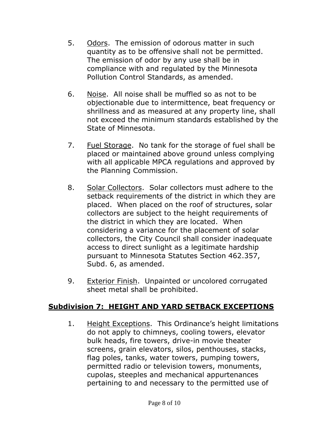- 5. Odors. The emission of odorous matter in such quantity as to be offensive shall not be permitted. The emission of odor by any use shall be in compliance with and regulated by the Minnesota Pollution Control Standards, as amended.
- 6. Noise. All noise shall be muffled so as not to be objectionable due to intermittence, beat frequency or shrillness and as measured at any property line, shall not exceed the minimum standards established by the State of Minnesota.
- 7. Fuel Storage. No tank for the storage of fuel shall be placed or maintained above ground unless complying with all applicable MPCA regulations and approved by the Planning Commission.
- 8. Solar Collectors. Solar collectors must adhere to the setback requirements of the district in which they are placed. When placed on the roof of structures, solar collectors are subject to the height requirements of the district in which they are located. When considering a variance for the placement of solar collectors, the City Council shall consider inadequate access to direct sunlight as a legitimate hardship pursuant to Minnesota Statutes Section 462.357, Subd. 6, as amended.
- 9. Exterior Finish. Unpainted or uncolored corrugated sheet metal shall be prohibited.

#### **Subdivision 7: HEIGHT AND YARD SETBACK EXCEPTIONS**

1. Height Exceptions. This Ordinance's height limitations do not apply to chimneys, cooling towers, elevator bulk heads, fire towers, drive-in movie theater screens, grain elevators, silos, penthouses, stacks, flag poles, tanks, water towers, pumping towers, permitted radio or television towers, monuments, cupolas, steeples and mechanical appurtenances pertaining to and necessary to the permitted use of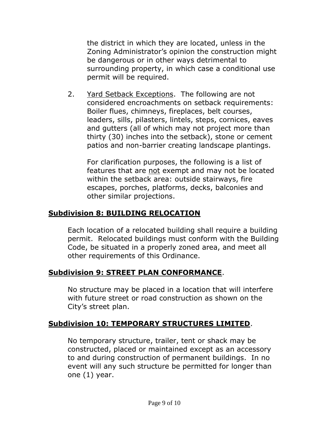the district in which they are located, unless in the Zoning Administrator's opinion the construction might be dangerous or in other ways detrimental to surrounding property, in which case a conditional use permit will be required.

2. Yard Setback Exceptions. The following are not considered encroachments on setback requirements: Boiler flues, chimneys, fireplaces, belt courses, leaders, sills, pilasters, lintels, steps, cornices, eaves and gutters (all of which may not project more than thirty (30) inches into the setback), stone or cement patios and non-barrier creating landscape plantings.

For clarification purposes, the following is a list of features that are not exempt and may not be located within the setback area: outside stairways, fire escapes, porches, platforms, decks, balconies and other similar projections.

# **Subdivision 8: BUILDING RELOCATION**

Each location of a relocated building shall require a building permit. Relocated buildings must conform with the Building Code, be situated in a properly zoned area, and meet all other requirements of this Ordinance.

#### **Subdivision 9: STREET PLAN CONFORMANCE**.

No structure may be placed in a location that will interfere with future street or road construction as shown on the City's street plan.

#### **Subdivision 10: TEMPORARY STRUCTURES LIMITED**.

No temporary structure, trailer, tent or shack may be constructed, placed or maintained except as an accessory to and during construction of permanent buildings. In no event will any such structure be permitted for longer than one (1) year.